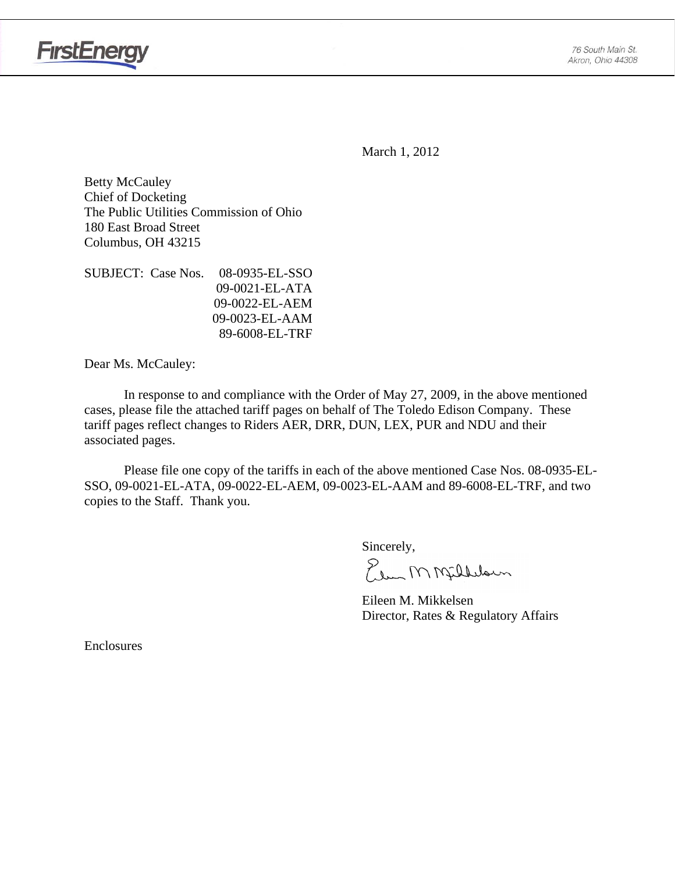



March 1, 2012

Betty McCauley Chief of Docketing The Public Utilities Commission of Ohio 180 East Broad Street Columbus, OH 43215

SUBJECT: Case Nos. 08-0935-EL-SSO 09-0021-EL-ATA 09-0022-EL-AEM 09-0023-EL-AAM 89-6008-EL-TRF

Dear Ms. McCauley:

 In response to and compliance with the Order of May 27, 2009, in the above mentioned cases, please file the attached tariff pages on behalf of The Toledo Edison Company. These tariff pages reflect changes to Riders AER, DRR, DUN, LEX, PUR and NDU and their associated pages.

Please file one copy of the tariffs in each of the above mentioned Case Nos. 08-0935-EL-SSO, 09-0021-EL-ATA, 09-0022-EL-AEM, 09-0023-EL-AAM and 89-6008-EL-TRF, and two copies to the Staff. Thank you.

Sincerely,

Plus MMfillelown

 Eileen M. Mikkelsen Director, Rates & Regulatory Affairs

**Enclosures**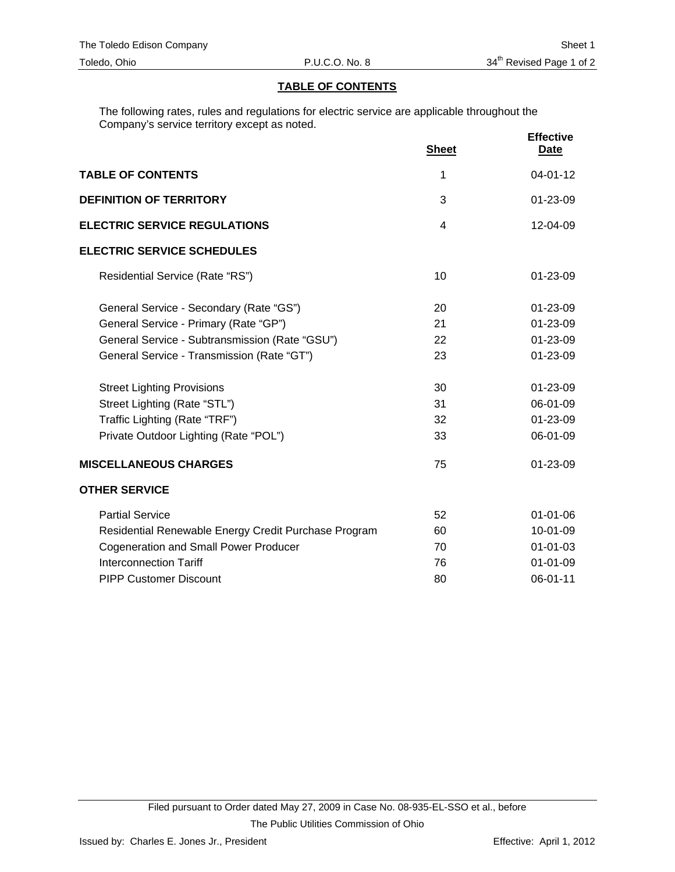#### **TABLE OF CONTENTS**

The following rates, rules and regulations for electric service are applicable throughout the Company's service territory except as noted.

|                                                      | <b>Sheet</b>   | <b>Effective</b><br><b>Date</b> |
|------------------------------------------------------|----------------|---------------------------------|
| <b>TABLE OF CONTENTS</b>                             | 1              | 04-01-12                        |
| <b>DEFINITION OF TERRITORY</b>                       | 3              | 01-23-09                        |
| <b>ELECTRIC SERVICE REGULATIONS</b>                  | $\overline{4}$ | 12-04-09                        |
| <b>ELECTRIC SERVICE SCHEDULES</b>                    |                |                                 |
| Residential Service (Rate "RS")                      | 10             | $01 - 23 - 09$                  |
| General Service - Secondary (Rate "GS")              | 20             | 01-23-09                        |
| General Service - Primary (Rate "GP")                | 21             | $01 - 23 - 09$                  |
| General Service - Subtransmission (Rate "GSU")       | 22             | 01-23-09                        |
| General Service - Transmission (Rate "GT")           | 23             | $01 - 23 - 09$                  |
| <b>Street Lighting Provisions</b>                    | 30             | $01 - 23 - 09$                  |
| Street Lighting (Rate "STL")                         | 31             | 06-01-09                        |
| Traffic Lighting (Rate "TRF")                        | 32             | 01-23-09                        |
| Private Outdoor Lighting (Rate "POL")                | 33             | 06-01-09                        |
| <b>MISCELLANEOUS CHARGES</b>                         | 75             | 01-23-09                        |
| <b>OTHER SERVICE</b>                                 |                |                                 |
| <b>Partial Service</b>                               | 52             | $01 - 01 - 06$                  |
| Residential Renewable Energy Credit Purchase Program | 60             | 10-01-09                        |
| <b>Cogeneration and Small Power Producer</b>         | 70             | $01 - 01 - 03$                  |
| <b>Interconnection Tariff</b>                        | 76             | $01 - 01 - 09$                  |
| <b>PIPP Customer Discount</b>                        | 80             | 06-01-11                        |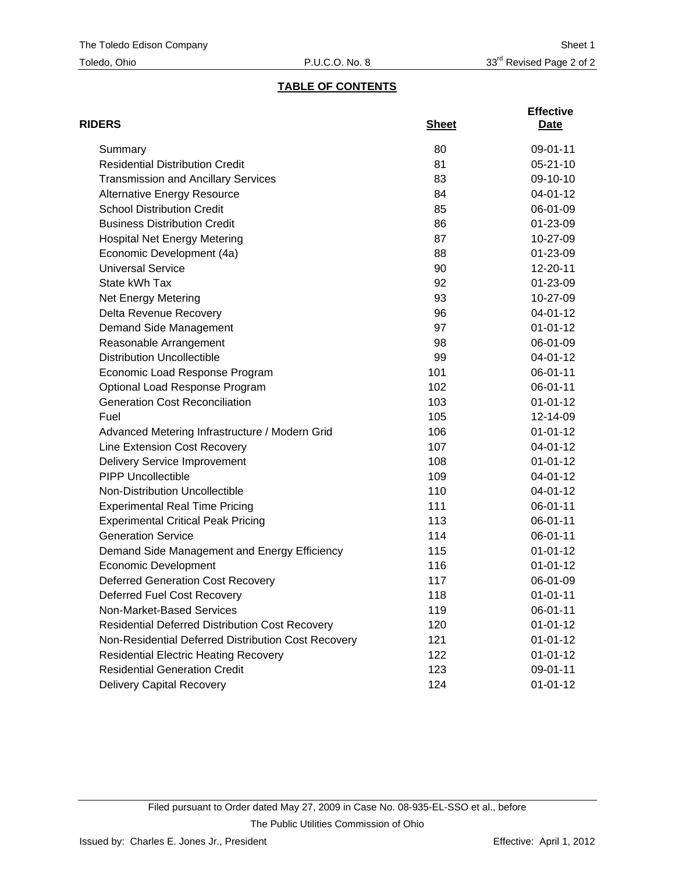# **TABLE OF CONTENTS**

| <b>RIDERS</b>                                          | <b>Sheet</b> | <b>Effective</b><br>Date |
|--------------------------------------------------------|--------------|--------------------------|
| Summary                                                | 80           | 09-01-11                 |
| <b>Residential Distribution Credit</b>                 | 81           | $05 - 21 - 10$           |
| <b>Transmission and Ancillary Services</b>             | 83           | 09-10-10                 |
| <b>Alternative Energy Resource</b>                     | 84           | 04-01-12                 |
| <b>School Distribution Credit</b>                      | 85           | 06-01-09                 |
| <b>Business Distribution Credit</b>                    | 86           | 01-23-09                 |
| <b>Hospital Net Energy Metering</b>                    | 87           | 10-27-09                 |
| Economic Development (4a)                              | 88           | 01-23-09                 |
| <b>Universal Service</b>                               | 90           | 12-20-11                 |
| State kWh Tax                                          | 92           | 01-23-09                 |
| <b>Net Energy Metering</b>                             | 93           | 10-27-09                 |
| Delta Revenue Recovery                                 | 96           | 04-01-12                 |
| Demand Side Management                                 | 97           | $01 - 01 - 12$           |
| Reasonable Arrangement                                 | 98           | 06-01-09                 |
| <b>Distribution Uncollectible</b>                      | 99           | 04-01-12                 |
| Economic Load Response Program                         | 101          | 06-01-11                 |
| Optional Load Response Program                         | 102          | 06-01-11                 |
| <b>Generation Cost Reconciliation</b>                  | 103          | $01 - 01 - 12$           |
| Fuel                                                   | 105          | 12-14-09                 |
| Advanced Metering Infrastructure / Modern Grid         | 106          | $01 - 01 - 12$           |
| Line Extension Cost Recovery                           | 107          | 04-01-12                 |
| <b>Delivery Service Improvement</b>                    | 108          | $01 - 01 - 12$           |
| <b>PIPP Uncollectible</b>                              | 109          | 04-01-12                 |
| Non-Distribution Uncollectible                         | 110          | 04-01-12                 |
| <b>Experimental Real Time Pricing</b>                  | 111          | 06-01-11                 |
| <b>Experimental Critical Peak Pricing</b>              | 113          | 06-01-11                 |
| <b>Generation Service</b>                              | 114          | 06-01-11                 |
| Demand Side Management and Energy Efficiency           | 115          | $01 - 01 - 12$           |
| <b>Economic Development</b>                            | 116          | $01 - 01 - 12$           |
| <b>Deferred Generation Cost Recovery</b>               | 117          | 06-01-09                 |
| Deferred Fuel Cost Recovery                            | 118          | $01 - 01 - 11$           |
| Non-Market-Based Services                              | 119          | 06-01-11                 |
| <b>Residential Deferred Distribution Cost Recovery</b> | 120          | $01 - 01 - 12$           |
| Non-Residential Deferred Distribution Cost Recovery    | 121          | $01 - 01 - 12$           |
| <b>Residential Electric Heating Recovery</b>           | 122          | $01 - 01 - 12$           |
| <b>Residential Generation Credit</b>                   | 123          | 09-01-11                 |
| <b>Delivery Capital Recovery</b>                       | 124          | $01 - 01 - 12$           |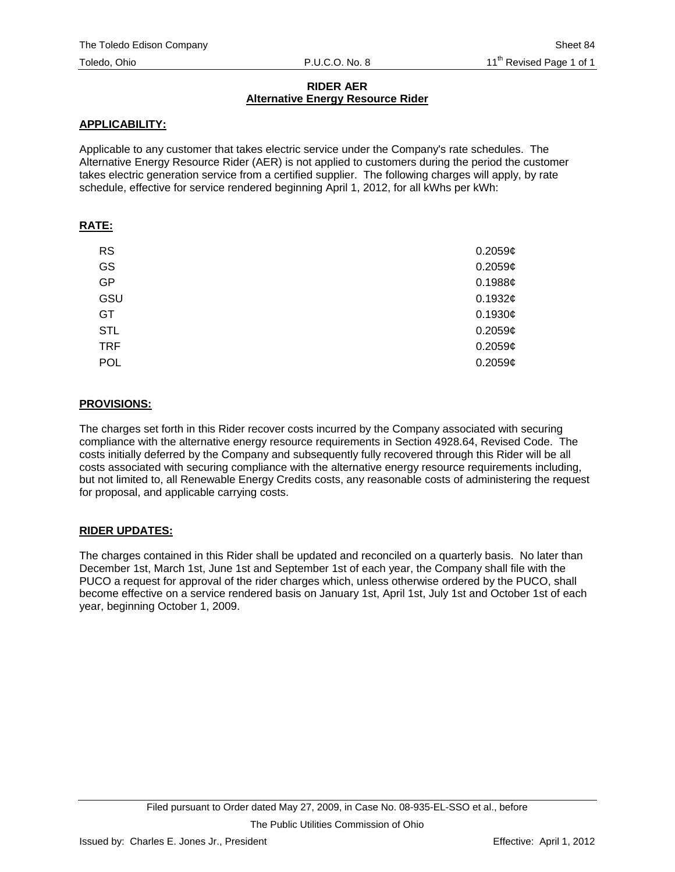## **RIDER AER Alternative Energy Resource Rider**

## **APPLICABILITY:**

Applicable to any customer that takes electric service under the Company's rate schedules. The Alternative Energy Resource Rider (AER) is not applied to customers during the period the customer takes electric generation service from a certified supplier. The following charges will apply, by rate schedule, effective for service rendered beginning April 1, 2012, for all kWhs per kWh:

## **RATE:**

| <b>RS</b>  | $0.2059$ ¢ |
|------------|------------|
| GS         | $0.2059$ ¢ |
| <b>GP</b>  | 0.1988c    |
| GSU        | 0.1932c    |
| GT         | 0.1930¢    |
| <b>STL</b> | $0.2059$ ¢ |
| <b>TRF</b> | $0.2059$ ¢ |
| <b>POL</b> | 0.2059c    |

## **PROVISIONS:**

The charges set forth in this Rider recover costs incurred by the Company associated with securing compliance with the alternative energy resource requirements in Section 4928.64, Revised Code. The costs initially deferred by the Company and subsequently fully recovered through this Rider will be all costs associated with securing compliance with the alternative energy resource requirements including, but not limited to, all Renewable Energy Credits costs, any reasonable costs of administering the request for proposal, and applicable carrying costs.

## **RIDER UPDATES:**

The charges contained in this Rider shall be updated and reconciled on a quarterly basis. No later than December 1st, March 1st, June 1st and September 1st of each year, the Company shall file with the PUCO a request for approval of the rider charges which, unless otherwise ordered by the PUCO, shall become effective on a service rendered basis on January 1st, April 1st, July 1st and October 1st of each year, beginning October 1, 2009.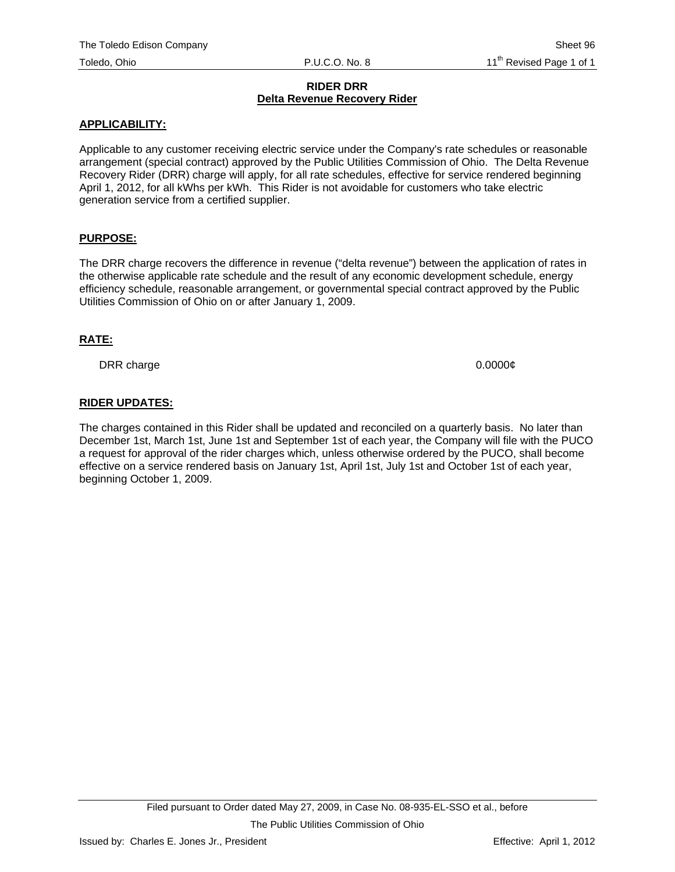#### **RIDER DRR Delta Revenue Recovery Rider**

#### **APPLICABILITY:**

Applicable to any customer receiving electric service under the Company's rate schedules or reasonable arrangement (special contract) approved by the Public Utilities Commission of Ohio. The Delta Revenue Recovery Rider (DRR) charge will apply, for all rate schedules, effective for service rendered beginning April 1, 2012, for all kWhs per kWh. This Rider is not avoidable for customers who take electric generation service from a certified supplier.

## **PURPOSE:**

The DRR charge recovers the difference in revenue ("delta revenue") between the application of rates in the otherwise applicable rate schedule and the result of any economic development schedule, energy efficiency schedule, reasonable arrangement, or governmental special contract approved by the Public Utilities Commission of Ohio on or after January 1, 2009.

#### **RATE:**

DRR charge 0.0000¢

## **RIDER UPDATES:**

The charges contained in this Rider shall be updated and reconciled on a quarterly basis. No later than December 1st, March 1st, June 1st and September 1st of each year, the Company will file with the PUCO a request for approval of the rider charges which, unless otherwise ordered by the PUCO, shall become effective on a service rendered basis on January 1st, April 1st, July 1st and October 1st of each year, beginning October 1, 2009.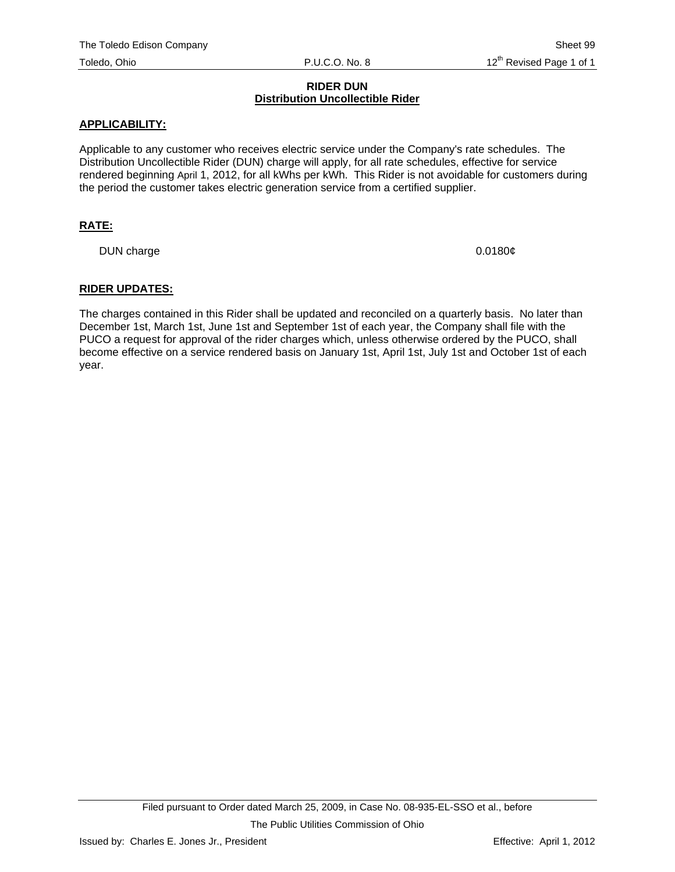#### **RIDER DUN Distribution Uncollectible Rider**

#### **APPLICABILITY:**

Applicable to any customer who receives electric service under the Company's rate schedules. The Distribution Uncollectible Rider (DUN) charge will apply, for all rate schedules, effective for service rendered beginning April 1, 2012, for all kWhs per kWh. This Rider is not avoidable for customers during the period the customer takes electric generation service from a certified supplier.

## **RATE:**

DUN charge 0.0180¢

#### **RIDER UPDATES:**

The charges contained in this Rider shall be updated and reconciled on a quarterly basis. No later than December 1st, March 1st, June 1st and September 1st of each year, the Company shall file with the PUCO a request for approval of the rider charges which, unless otherwise ordered by the PUCO, shall become effective on a service rendered basis on January 1st, April 1st, July 1st and October 1st of each year.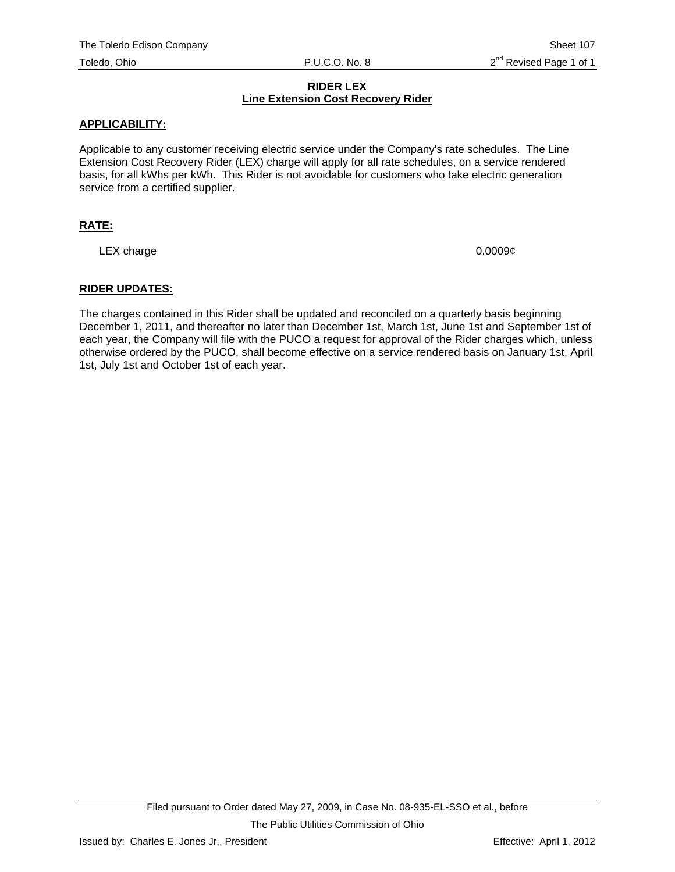## **RIDER LEX Line Extension Cost Recovery Rider**

## **APPLICABILITY:**

Applicable to any customer receiving electric service under the Company's rate schedules. The Line Extension Cost Recovery Rider (LEX) charge will apply for all rate schedules, on a service rendered basis, for all kWhs per kWh. This Rider is not avoidable for customers who take electric generation service from a certified supplier.

## **RATE:**

LEX charge  $0.0009\ell$ 

## **RIDER UPDATES:**

The charges contained in this Rider shall be updated and reconciled on a quarterly basis beginning December 1, 2011, and thereafter no later than December 1st, March 1st, June 1st and September 1st of each year, the Company will file with the PUCO a request for approval of the Rider charges which, unless otherwise ordered by the PUCO, shall become effective on a service rendered basis on January 1st, April 1st, July 1st and October 1st of each year.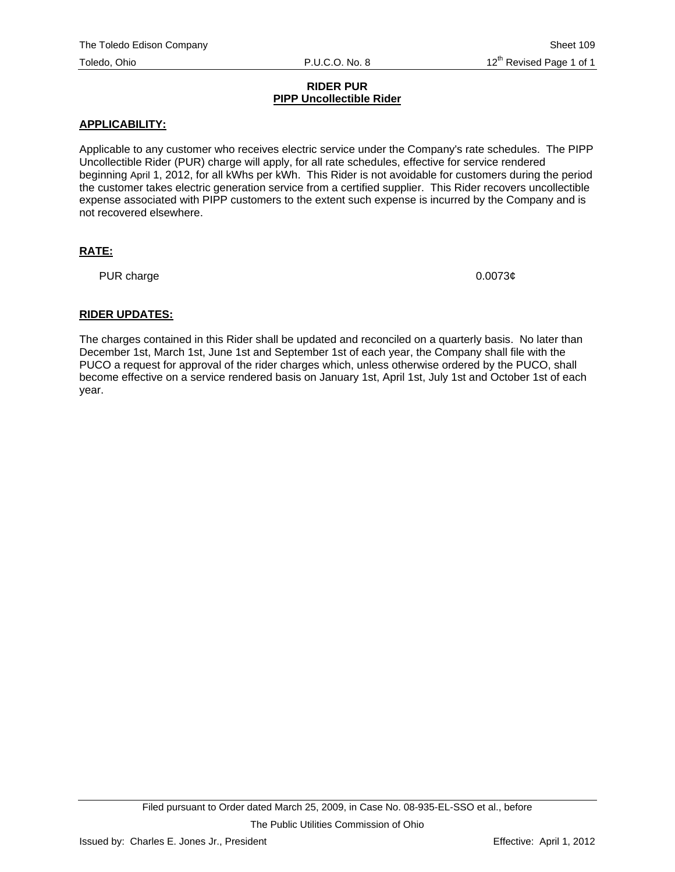#### **RIDER PUR PIPP Uncollectible Rider**

## **APPLICABILITY:**

Applicable to any customer who receives electric service under the Company's rate schedules. The PIPP Uncollectible Rider (PUR) charge will apply, for all rate schedules, effective for service rendered beginning April 1, 2012, for all kWhs per kWh. This Rider is not avoidable for customers during the period the customer takes electric generation service from a certified supplier. This Rider recovers uncollectible expense associated with PIPP customers to the extent such expense is incurred by the Company and is not recovered elsewhere.

## **RATE:**

PUR charge  $0.0073¢$ 

## **RIDER UPDATES:**

The charges contained in this Rider shall be updated and reconciled on a quarterly basis. No later than December 1st, March 1st, June 1st and September 1st of each year, the Company shall file with the PUCO a request for approval of the rider charges which, unless otherwise ordered by the PUCO, shall become effective on a service rendered basis on January 1st, April 1st, July 1st and October 1st of each year.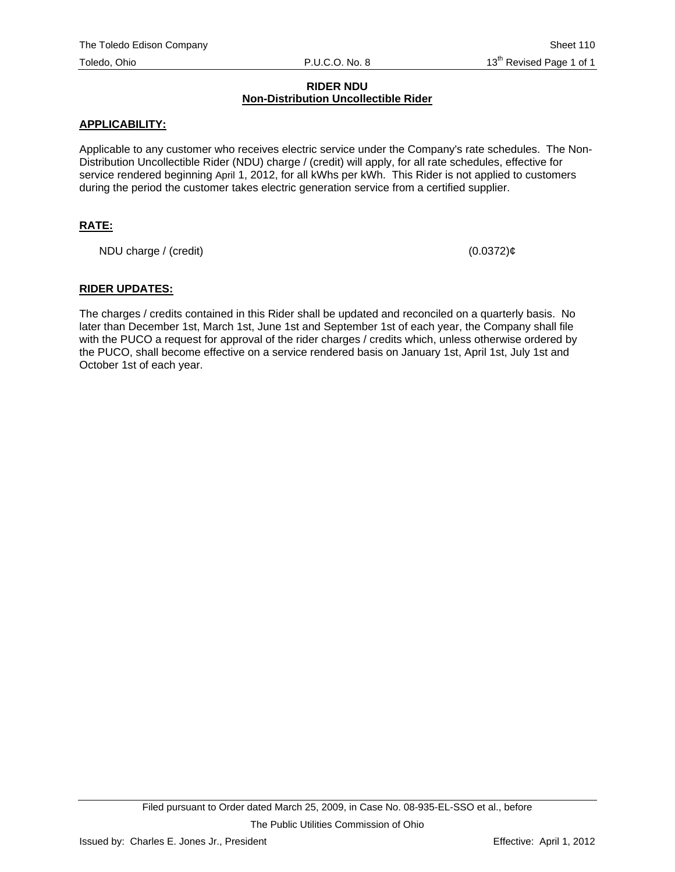#### **RIDER NDU Non-Distribution Uncollectible Rider**

#### **APPLICABILITY:**

Applicable to any customer who receives electric service under the Company's rate schedules. The Non-Distribution Uncollectible Rider (NDU) charge / (credit) will apply, for all rate schedules, effective for service rendered beginning April 1, 2012, for all kWhs per kWh. This Rider is not applied to customers during the period the customer takes electric generation service from a certified supplier.

## **RATE:**

NDU charge / (credit)  $(0.0372)\varrho$ 

#### **RIDER UPDATES:**

The charges / credits contained in this Rider shall be updated and reconciled on a quarterly basis. No later than December 1st, March 1st, June 1st and September 1st of each year, the Company shall file with the PUCO a request for approval of the rider charges / credits which, unless otherwise ordered by the PUCO, shall become effective on a service rendered basis on January 1st, April 1st, July 1st and October 1st of each year.